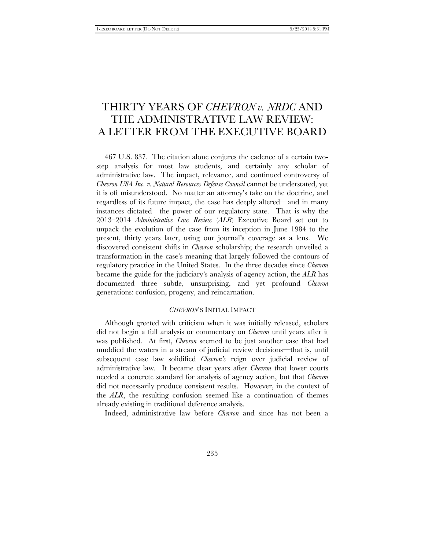# THIRTY YEARS OF *CHEVRON v. NRDC* AND THE ADMINISTRATIVE LAW REVIEW: A LETTER FROM THE EXECUTIVE BOARD

467 U.S. 837. The citation alone conjures the cadence of a certain twostep analysis for most law students, and certainly any scholar of administrative law. The impact, relevance, and continued controversy of *Chevron USA Inc. v. Natural Resources Defense Council* cannot be understated, yet it is oft misunderstood. No matter an attorney's take on the doctrine, and regardless of its future impact, the case has deeply altered—and in many instances dictated—the power of our regulatory state. That is why the 2013–2014 *Administrative Law Review* (*ALR*) Executive Board set out to unpack the evolution of the case from its inception in June 1984 to the present, thirty years later, using our journal's coverage as a lens. We discovered consistent shifts in *Chevron* scholarship; the research unveiled a transformation in the case's meaning that largely followed the contours of regulatory practice in the United States. In the three decades since *Chevron* became the guide for the judiciary's analysis of agency action, the *ALR* has documented three subtle, unsurprising, and yet profound *Chevron* generations: confusion, progeny, and reincarnation.

## *CHEVRON*'S INITIAL IMPACT

Although greeted with criticism when it was initially released, scholars did not begin a full analysis or commentary on *Chevron* until years after it was published. At first, *Chevron* seemed to be just another case that had muddied the waters in a stream of judicial review decisions—that is, until subsequent case law solidified *Chevron's* reign over judicial review of administrative law. It became clear years after *Chevron* that lower courts needed a concrete standard for analysis of agency action, but that *Chevron*  did not necessarily produce consistent results. However, in the context of the *ALR*, the resulting confusion seemed like a continuation of themes already existing in traditional deference analysis.

Indeed, administrative law before *Chevron* and since has not been a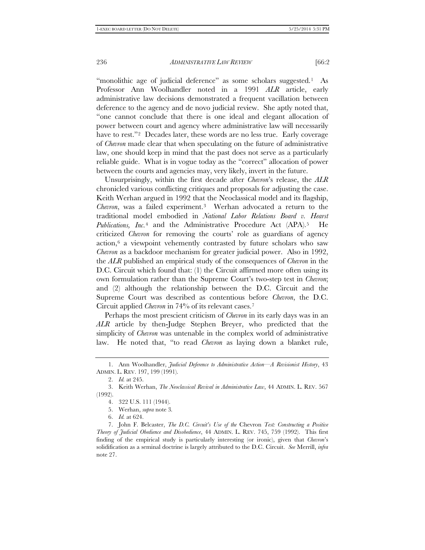236 *ADMINISTRATIVE LAW REVIEW* [66:2

"monolithic age of judicial deference" as some scholars suggested.[1](#page-1-0) As Professor Ann Woolhandler noted in a 1991 *ALR* article, early administrative law decisions demonstrated a frequent vacillation between deference to the agency and de novo judicial review. She aptly noted that, "one cannot conclude that there is one ideal and elegant allocation of power between court and agency where administrative law will necessarily have to rest."<sup>[2](#page-1-1)</sup> Decades later, these words are no less true. Early coverage of *Chevron* made clear that when speculating on the future of administrative law, one should keep in mind that the past does not serve as a particularly reliable guide. What is in vogue today as the "correct" allocation of power between the courts and agencies may, very likely, invert in the future.

Unsurprisingly, within the first decade after *Chevron*'s release, the *ALR* chronicled various conflicting critiques and proposals for adjusting the case. Keith Werhan argued in 1992 that the Neoclassical model and its flagship, *Chevron*, was a failed experiment.[3](#page-1-2) Werhan advocated a return to the traditional model embodied in *National Labor Relations Board v. Hearst Publications, Inc.*[4](#page-1-3) and the Administrative Procedure Act (APA).[5](#page-1-4) He criticized *Chevron* for removing the courts' role as guardians of agency action,[6](#page-1-5) a viewpoint vehemently contrasted by future scholars who saw *Chevron* as a backdoor mechanism for greater judicial power. Also in 1992, the *ALR* published an empirical study of the consequences of *Chevron* in the D.C. Circuit which found that: (1) the Circuit affirmed more often using its own formulation rather than the Supreme Court's two-step test in *Chevron*; and (2) although the relationship between the D.C. Circuit and the Supreme Court was described as contentious before *Chevron*, the D.C. Circuit applied *Chevron* in 74% of its relevant cases.[7](#page-1-6)

Perhaps the most prescient criticism of *Chevron* in its early days was in an *ALR* article by then-Judge Stephen Breyer, who predicted that the simplicity of *Chevron* was untenable in the complex world of administrative law. He noted that, "to read *Chevron* as laying down a blanket rule,

<span id="page-1-0"></span><sup>1.</sup> Ann Woolhandler, *Judicial Deference to Administrative Action—A Revisionist History*, 43 ADMIN. L. REV. 197, 199 (1991).

<sup>2.</sup> *Id.* at 245.

<span id="page-1-3"></span><span id="page-1-2"></span><span id="page-1-1"></span><sup>3.</sup> Keith Werhan, *The Neoclassical Revival in Administrative Law*, 44 ADMIN. L. REV. 567 (1992).

<sup>4.</sup> 322 U.S. 111 (1944).

<sup>5.</sup> Werhan, *supra* note 3*.*

<sup>6.</sup> *Id.* at 624.

<span id="page-1-6"></span><span id="page-1-5"></span><span id="page-1-4"></span><sup>7.</sup> John F. Belcaster, *The D.C. Circuit's Use of the* Chevron *Test: Constructing a Positive Theory of Judicial Obedience and Disobedience*, 44 ADMIN. L. REV. 745, 759 (1992). This first finding of the empirical study is particularly interesting (or ironic), given that *Chevron*'s solidification as a seminal doctrine is largely attributed to the D.C. Circuit. *See* Merrill, *infra*  note 27.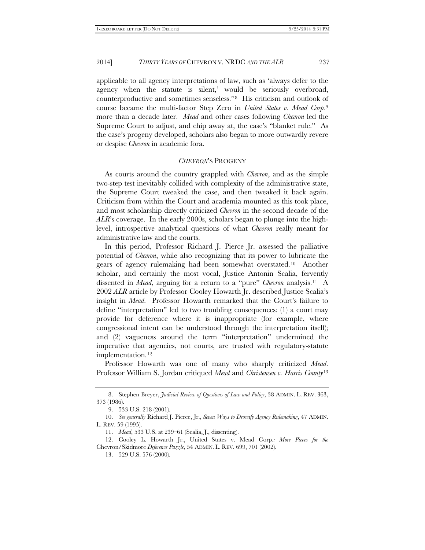#### 2014] *THIRTY YEARS OF* CHEVRON V. NRDC *AND THE ALR* 237

applicable to all agency interpretations of law, such as 'always defer to the agency when the statute is silent,' would be seriously overbroad, counterproductive and sometimes senseless."[8](#page-2-0) His criticism and outlook of course became the multi-factor Step Zero in *United States v. Mead Corp.*[9](#page-2-1) more than a decade later. *Mead* and other cases following *Chevron* led the Supreme Court to adjust, and chip away at, the case's "blanket rule." As the case's progeny developed, scholars also began to more outwardly revere or despise *Chevron* in academic fora.

#### *CHEVRON*'S PROGENY

As courts around the country grappled with *Chevron*, and as the simple two-step test inevitably collided with complexity of the administrative state, the Supreme Court tweaked the case, and then tweaked it back again. Criticism from within the Court and academia mounted as this took place, and most scholarship directly criticized *Chevron* in the second decade of the *ALR*'s coverage. In the early 2000s, scholars began to plunge into the highlevel, introspective analytical questions of what *Chevron* really meant for administrative law and the courts.

In this period, Professor Richard J. Pierce Jr. assessed the palliative potential of *Chevron*, while also recognizing that its power to lubricate the gears of agency rulemaking had been somewhat overstated.[10](#page-2-2) Another scholar, and certainly the most vocal, Justice Antonin Scalia, fervently dissented in *Mead*, arguing for a return to a "pure" *Chevron* analysis.[11](#page-2-3) A 2002 *ALR* article by Professor Cooley Howarth Jr. described Justice Scalia's insight in *Mead*. Professor Howarth remarked that the Court's failure to define "interpretation" led to two troubling consequences: (1) a court may provide for deference where it is inappropriate (for example, where congressional intent can be understood through the interpretation itself); and (2) vagueness around the term "interpretation" undermined the imperative that agencies, not courts, are trusted with regulatory-statute implementation.<sup>[12](#page-2-4)</sup>

Professor Howarth was one of many who sharply criticized *Mead*. Professor William S. Jordan critiqued *Mead* and *Christensen v. Harris County*[13](#page-2-5)

<span id="page-2-0"></span><sup>8.</sup> Stephen Breyer, *Judicial Review of Questions of Law and Policy*, 38 ADMIN. L. REV. 363, 373 (1986).

<sup>9.</sup> 533 U.S. 218 (2001).

<span id="page-2-2"></span><span id="page-2-1"></span><sup>10.</sup> *See generally* Richard J. Pierce, Jr., *Seven Ways to Deossify Agency Rulemaking*, 47 ADMIN. L. REV. 59 (1995).

<sup>11.</sup> *Mead*, 533 U.S. at 239–61 (Scalia, J., dissenting).

<span id="page-2-5"></span><span id="page-2-4"></span><span id="page-2-3"></span><sup>12.</sup> Cooley L. Howarth Jr., United States v. Mead Corp.*: More Pieces for the* Chevron/Skidmore *Deference Puzzle*, 54 ADMIN. L. REV. 699, 701 (2002).

<sup>13.</sup> 529 U.S. 576 (2000).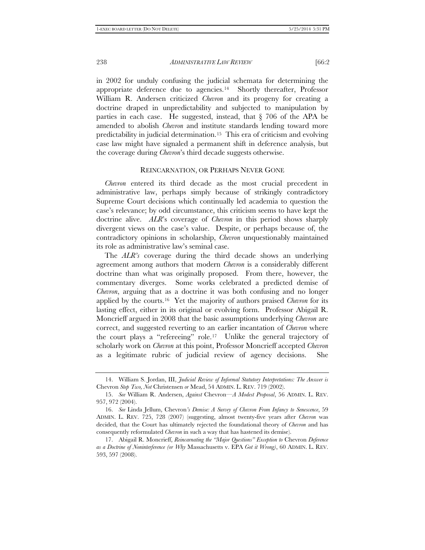238 *ADMINISTRATIVE LAW REVIEW* [66:2

in 2002 for unduly confusing the judicial schemata for determining the appropriate deference due to agencies.[14](#page-3-0) Shortly thereafter, Professor William R. Andersen criticized *Chevron* and its progeny for creating a doctrine draped in unpredictability and subjected to manipulation by parties in each case. He suggested, instead, that § 706 of the APA be amended to abolish *Chevron* and institute standards lending toward more predictability in judicial determination[.15](#page-3-1) This era of criticism and evolving case law might have signaled a permanent shift in deference analysis, but the coverage during *Chevron*'s third decade suggests otherwise.

#### REINCARNATION, OR PERHAPS NEVER GONE

*Chevron* entered its third decade as the most crucial precedent in administrative law, perhaps simply because of strikingly contradictory Supreme Court decisions which continually led academia to question the case's relevance; by odd circumstance, this criticism seems to have kept the doctrine alive. *ALR*'s coverage of *Chevron* in this period shows sharply divergent views on the case's value. Despite, or perhaps because of, the contradictory opinions in scholarship, *Chevron* unquestionably maintained its role as administrative law's seminal case.

The *ALR's* coverage during the third decade shows an underlying agreement among authors that modern *Chevron* is a considerably different doctrine than what was originally proposed. From there, however, the commentary diverges. Some works celebrated a predicted demise of *Chevron*, arguing that as a doctrine it was both confusing and no longer applied by the courts.[16](#page-3-2) Yet the majority of authors praised *Chevron* for its lasting effect, either in its original or evolving form. Professor Abigail R. Moncrieff argued in 2008 that the basic assumptions underlying *Chevron* are correct, and suggested reverting to an earlier incantation of *Chevron* where the court plays a "refereeing" role.[17](#page-3-3) Unlike the general trajectory of scholarly work on *Chevron* at this point, Professor Moncrieff accepted *Chevron* as a legitimate rubric of judicial review of agency decisions. She

<span id="page-3-0"></span><sup>14.</sup> William S. Jordan, III, *Judicial Review of Informal Statutory Interpretations: The Answer is*  Chevron *Step Two, Not* Christensen *or* Mead, 54 ADMIN. L. REV. 719 (2002).

<span id="page-3-1"></span><sup>15.</sup> *See* William R. Andersen, *Against* Chevron—*A Modest Proposal*, 56 ADMIN. L. REV. 957, 972 (2004).

<span id="page-3-2"></span><sup>16.</sup> *See* Linda Jellum, Chevron*'s Demise: A Survey of Chevron From Infancy to Senescence*, 59 ADMIN. L. REV. 725, 728 (2007) (suggesting, almost twenty-five years after *Chevron* was decided, that the Court has ultimately rejected the foundational theory of *Chevron* and has consequently reformulated *Chevron* in such a way that has hastened its demise).

<span id="page-3-3"></span><sup>17.</sup> Abigail R. Moncrieff, *Reincarnating the "Major Questions" Exception to* Chevron *Deference as a Doctrine of Noninterference (or Why* Massachusetts v. EPA *Got it Wrong)*, 60 ADMIN. L. REV. 593, 597 (2008).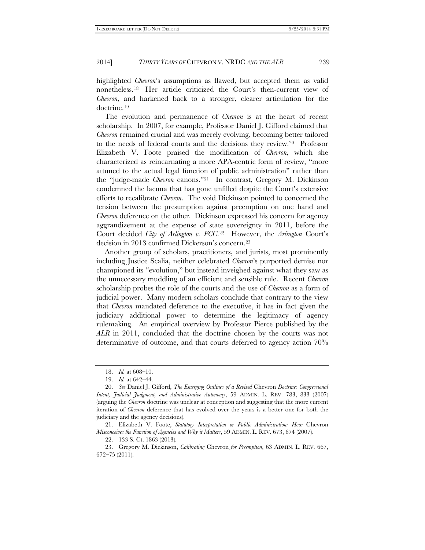### 2014] *THIRTY YEARS OF* CHEVRON V. NRDC *AND THE ALR* 239

highlighted *Chevron*'s assumptions as flawed, but accepted them as valid nonetheless.[18](#page-4-0) Her article criticized the Court's then-current view of *Chevron*, and harkened back to a stronger, clearer articulation for the doctrine.[19](#page-4-1)

The evolution and permanence of *Chevron* is at the heart of recent scholarship. In 2007, for example, Professor Daniel J. Gifford claimed that *Chevron* remained crucial and was merely evolving, becoming better tailored to the needs of federal courts and the decisions they review.[20](#page-4-2) Professor Elizabeth V. Foote praised the modification of *Chevron*, which she characterized as reincarnating a more APA-centric form of review, "more attuned to the actual legal function of public administration" rather than the "judge-made *Chevron* canons."[21](#page-4-3) In contrast, Gregory M. Dickinson condemned the lacuna that has gone unfilled despite the Court's extensive efforts to recalibrate *Chevron*. The void Dickinson pointed to concerned the tension between the presumption against preemption on one hand and *Chevron* deference on the other. Dickinson expressed his concern for agency aggrandizement at the expense of state sovereignty in 2011, before the Court decided *City of Arlington v. FCC*.[22](#page-4-4) However, the *Arlington* Court's decision in 2013 confirmed Dickerson's concern.[23](#page-4-5)

Another group of scholars, practitioners, and jurists, most prominently including Justice Scalia, neither celebrated *Chevron*'s purported demise nor championed its "evolution," but instead inveighed against what they saw as the unnecessary muddling of an efficient and sensible rule. Recent *Chevron* scholarship probes the role of the courts and the use of *Chevron* as a form of judicial power. Many modern scholars conclude that contrary to the view that *Chevron* mandated deference to the executive, it has in fact given the judiciary additional power to determine the legitimacy of agency rulemaking. An empirical overview by Professor Pierce published by the *ALR* in 2011, concluded that the doctrine chosen by the courts was not determinative of outcome, and that courts deferred to agency action 70%

<sup>18.</sup> *Id.* at 608–10.

<sup>19.</sup> *Id.* at 642–44.

<span id="page-4-2"></span><span id="page-4-1"></span><span id="page-4-0"></span><sup>20.</sup> *See* Daniel J. Gifford, *The Emerging Outlines of a Revised* Chevron *Doctrine: Congressional Intent, Judicial Judgment, and Administrative Autonomy*, 59 ADMIN. L. REV. 783, 833 (2007) (arguing the *Chevron* doctrine was unclear at conception and suggesting that the more current iteration of *Chevron* deference that has evolved over the years is a better one for both the judiciary and the agency decisions).

<span id="page-4-3"></span><sup>21.</sup> Elizabeth V. Foote, *Statutory Interpretation or Public Administration: How* Chevron *Misconceives the Function of Agencies and Why it Matters*, 59 ADMIN. L. REV. 673, 674 (2007).

<sup>22.</sup> 133 S. Ct. 1863 (2013).

<span id="page-4-5"></span><span id="page-4-4"></span><sup>23.</sup> Gregory M. Dickinson, *Calibrating* Chevron *for Preemption*, 63 ADMIN. L. REV. 667, 672–75 (2011).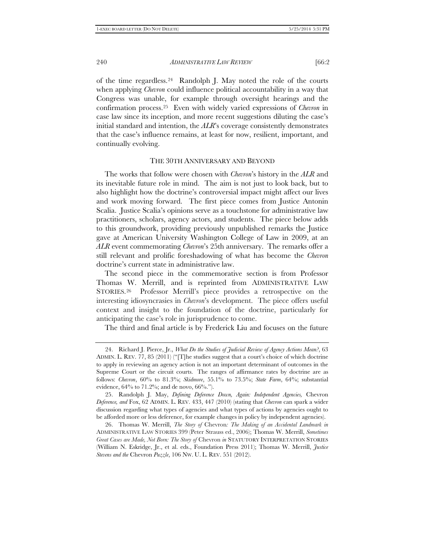# 240 *ADMINISTRATIVE LAW REVIEW* [66:2

of the time regardless.[24](#page-5-0) Randolph J. May noted the role of the courts when applying *Chevron* could influence political accountability in a way that Congress was unable, for example through oversight hearings and the confirmation process.[25](#page-5-1) Even with widely varied expressions of *Chevron* in case law since its inception, and more recent suggestions diluting the case's initial standard and intention, the *ALR*'s coverage consistently demonstrates that the case's influence remains, at least for now, resilient, important, and continually evolving.

#### THE 30TH ANNIVERSARY AND BEYOND

The works that follow were chosen with *Chevron*'s history in the *ALR* and its inevitable future role in mind. The aim is not just to look back, but to also highlight how the doctrine's controversial impact might affect our lives and work moving forward. The first piece comes from Justice Antonin Scalia. Justice Scalia's opinions serve as a touchstone for administrative law practitioners, scholars, agency actors, and students. The piece below adds to this groundwork, providing previously unpublished remarks the Justice gave at American University Washington College of Law in 2009, at an *ALR* event commemorating *Chevron*'s 25th anniversary. The remarks offer a still relevant and prolific foreshadowing of what has become the *Chevron*  doctrine's current state in administrative law.

The second piece in the commemorative section is from Professor Thomas W. Merrill, and is reprinted from ADMINISTRATIVE LAW STORIES.[26](#page-5-2) Professor Merrill's piece provides a retrospective on the interesting idiosyncrasies in *Chevron*'s development. The piece offers useful context and insight to the foundation of the doctrine, particularly for anticipating the case's role in jurisprudence to come.

The third and final article is by Frederick Liu and focuses on the future

<span id="page-5-0"></span><sup>24.</sup> Richard J. Pierce, Jr., *What Do the Studies of Judicial Review of Agency Actions Mean?*, 63 ADMIN. L. REV. 77, 85 (2011) ("[T]he studies suggest that a court's choice of which doctrine to apply in reviewing an agency action is not an important determinant of outcomes in the Supreme Court or the circuit courts. The ranges of affirmance rates by doctrine are as follows: *Chevron*, 60% to 81.3%; *Skidmore*, 55.1% to 73.5%; *State Farm*, 64%; substantial evidence,  $64\%$  to  $71.2\%$ ; and de novo,  $66\%$ .").

<span id="page-5-1"></span><sup>25.</sup> Randolph J. May, *Defining Deference Down, Again: Independent Agencies,* Chevron *Deference, and* Fox, 62 ADMIN. L. REV. 433, 447 (2010) (stating that *Chevron* can spark a wider discussion regarding what types of agencies and what types of actions by agencies ought to be afforded more or less deference, for example changes in policy by independent agencies).

<span id="page-5-2"></span><sup>26.</sup> Thomas W. Merrill, *The Story of* Chevron*: The Making of an Accidental Landmark in* ADMINISTRATIVE LAW STORIES 399 (Peter Strauss ed., 2006); Thomas W. Merrill, *Sometimes Great Cases are Made, Not Born: The Story of* Chevron *in* STATUTORY INTERPRETATION STORIES (William N. Eskridge, Jr., et al. eds., Foundation Press 2011); Thomas W. Merrill, *Justice Stevens and the* Chevron *Puzzle*, 106 NW. U. L. REV. 551 (2012).